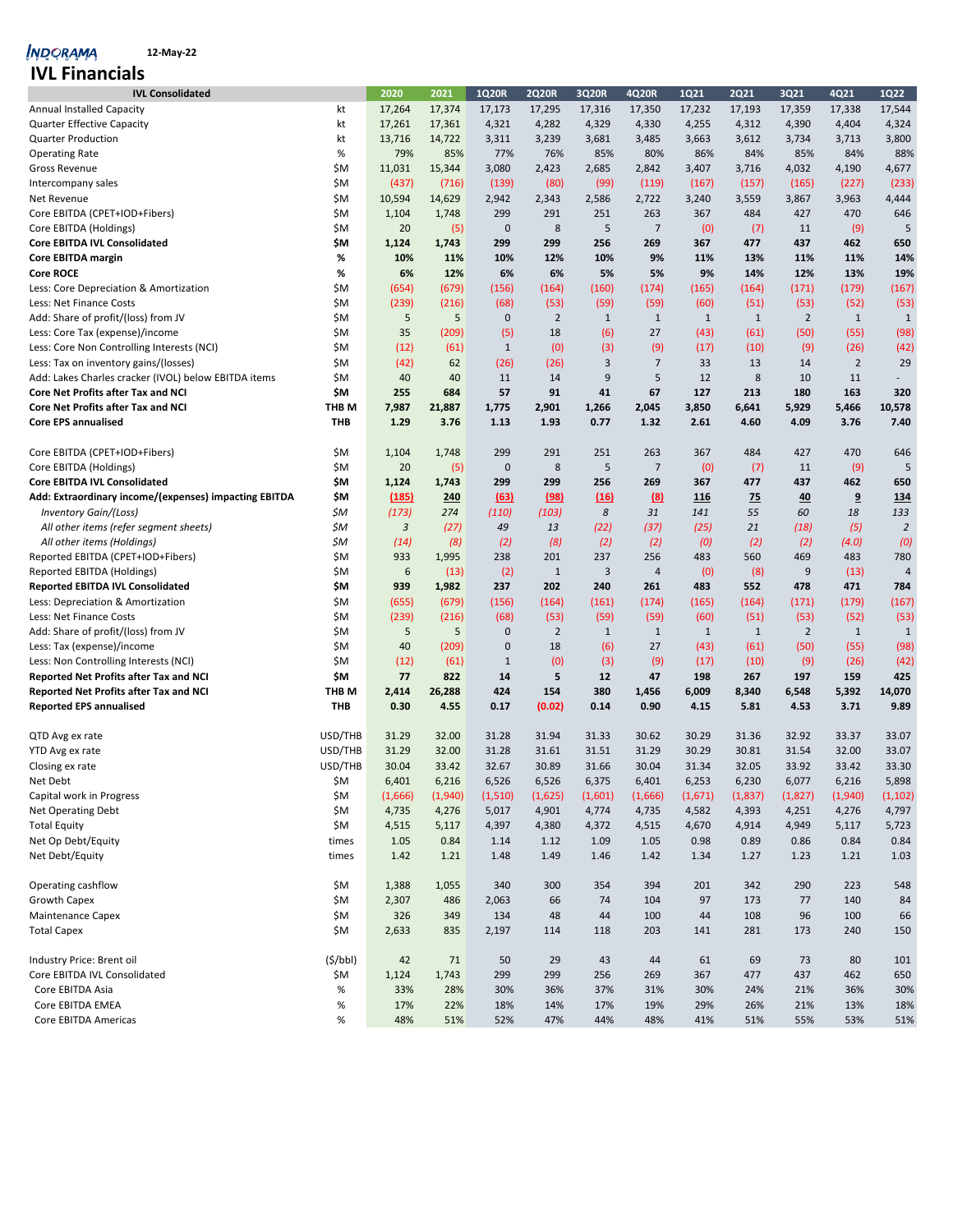| <b>IVL Consolidated</b>                               |         | 2020            | 2021    | 1Q20R        | <b>2Q20R</b>   | 3Q20R        | 4Q20R          | 1Q21         | <b>2Q21</b>  | 3Q21           | 4Q21           | 1Q22           |
|-------------------------------------------------------|---------|-----------------|---------|--------------|----------------|--------------|----------------|--------------|--------------|----------------|----------------|----------------|
| <b>Annual Installed Capacity</b>                      | kt      | 17,264          | 17,374  | 17,173       | 17,295         | 17,316       | 17,350         | 17,232       | 17,193       | 17,359         | 17,338         | 17,544         |
| <b>Quarter Effective Capacity</b>                     | kt      | 17,261          | 17,361  | 4,321        | 4,282          | 4,329        | 4,330          | 4,255        | 4,312        | 4,390          | 4,404          | 4,324          |
| Quarter Production                                    | kt      | 13,716          | 14,722  | 3,311        | 3,239          | 3,681        | 3,485          | 3,663        | 3,612        | 3,734          | 3,713          | 3,800          |
| <b>Operating Rate</b>                                 | %       | 79%             | 85%     | 77%          | 76%            | 85%          | 80%            | 86%          | 84%          | 85%            | 84%            | 88%            |
| Gross Revenue                                         | \$M     | 11,031          | 15,344  | 3,080        | 2,423          | 2,685        | 2,842          | 3,407        | 3,716        | 4,032          | 4,190          | 4,677          |
| Intercompany sales                                    | \$M     | (437)           | (716)   | (139)        | (80)           | (99)         | (119)          | (167)        | (157)        | (165)          | (227)          | (233)          |
| Net Revenue                                           | \$M     | 10,594          | 14,629  | 2,942        | 2,343          | 2,586        | 2,722          | 3,240        | 3,559        | 3,867          | 3,963          | 4,444          |
| Core EBITDA (CPET+IOD+Fibers)                         | \$M     | 1,104           | 1,748   | 299          | 291            | 251          | 263            | 367          | 484          | 427            | 470            | 646            |
| Core EBITDA (Holdings)                                | \$M     | 20              | (5)     | $\mathbf 0$  | 8              | 5            | $\overline{7}$ | (0)          | (7)          | 11             | (9)            | 5              |
| <b>Core EBITDA IVL Consolidated</b>                   | \$M     | 1,124           | 1,743   | 299          | 299            | 256          | 269            | 367          | 477          | 437            | 462            | 650            |
| Core EBITDA margin                                    | %       | 10%             | 11%     | 10%          | 12%            | 10%          | 9%             | 11%          | 13%          | 11%            | 11%            | 14%            |
| <b>Core ROCE</b>                                      | %       | 6%              | 12%     | 6%           | 6%             | 5%           | 5%             | 9%           | 14%          | 12%            | 13%            | 19%            |
| Less: Core Depreciation & Amortization                | \$M     | (654)           | (679)   | (156)        | (164)          | (160)        | (174)          | (165)        | (164)        | (171)          | (179)          | (167)          |
| Less: Net Finance Costs                               | \$M     | (239)           | (216)   | (68)         | (53)           | (59)         | (59)           | (60)         | (51)         | (53)           | (52)           | (53)           |
| Add: Share of profit/(loss) from JV                   | \$M     | 5               | 5       | $\mathbf 0$  | $\overline{2}$ | $\mathbf{1}$ | $\mathbf{1}$   | $\mathbf{1}$ | $\mathbf{1}$ | $\overline{2}$ | $\mathbf{1}$   | 1              |
| Less: Core Tax (expense)/income                       | \$M     | 35              | (209)   | (5)          | 18             | (6)          | 27             | (43)         | (61)         | (50)           | (55)           | (98)           |
| Less: Core Non Controlling Interests (NCI)            | \$M     | (12)            | (61)    | $\mathbf{1}$ | (0)            | (3)          | (9)            | (17)         | (10)         | (9)            | (26)           | (42)           |
| Less: Tax on inventory gains/(losses)                 | \$M     | (42)            | 62      | (26)         | (26)           | $\mathsf{3}$ | 7              | 33           | 13           | 14             | $\overline{2}$ | 29             |
| Add: Lakes Charles cracker (IVOL) below EBITDA items  | \$M     | 40              | 40      | 11           | 14             | 9            | 5              | 12           | 8            | 10             | 11             | $\sim$         |
| <b>Core Net Profits after Tax and NCI</b>             | \$M     | 255             | 684     | 57           | 91             | 41           | 67             | 127          | 213          | 180            | 163            | 320            |
| Core Net Profits after Tax and NCI                    | THB M   | 7,987           | 21,887  | 1,775        | 2,901          | 1,266        | 2,045          | 3,850        | 6,641        | 5,929          | 5,466          | 10,578         |
| <b>Core EPS annualised</b>                            | THB     | 1.29            | 3.76    | 1.13         | 1.93           | 0.77         | 1.32           | 2.61         | 4.60         | 4.09           | 3.76           | 7.40           |
|                                                       |         |                 |         |              |                |              |                |              |              |                |                |                |
| Core EBITDA (CPET+IOD+Fibers)                         | \$M     | 1,104           | 1,748   | 299          | 291            | 251          | 263            | 367          | 484          | 427            | 470            | 646            |
| Core EBITDA (Holdings)                                | \$M     | 20              | (5)     | $\pmb{0}$    | $\bf 8$        | 5            | $\overline{7}$ | (0)          | (7)          | 11             | (9)            | 5              |
| <b>Core EBITDA IVL Consolidated</b>                   | \$M     | 1,124           | 1,743   | 299          | 299            | 256          | 269            | 367          | 477          | 437            | 462            | 650            |
| Add: Extraordinary income/(expenses) impacting EBITDA | \$M     | (185)           | 240     | (63)         | (98)           | (16)         | (8)            | <u>116</u>   | <u>75</u>    | 40             | 9              | 134            |
| Inventory Gain/(Loss)                                 | \$M     | (173)           | 274     | (110)        | (103)          | 8            | 31             | 141          | 55           | 60             | 18             | 133            |
| All other items (refer segment sheets)                | \$M     | $\mathbf{3}$    | (27)    | 49           | 13             | (22)         | (37)           | (25)         | 21           | (18)           | (5)            | $\overline{2}$ |
| All other items (Holdings)                            | \$M     | (14)            | (8)     | (2)          | (8)            | (2)          | (2)            | (0)          | (2)          | (2)            | (4.0)          | (0)            |
| Reported EBITDA (CPET+IOD+Fibers)                     | \$M     | 933             | 1,995   | 238          | 201            | 237          | 256            | 483          | 560          | 469            | 483            | 780            |
| Reported EBITDA (Holdings)                            | \$M     | $6\phantom{1}6$ | (13)    | (2)          | $\mathbf{1}$   | 3            | 4              | (0)          | (8)          | 9              | (13)           | $\overline{4}$ |
| <b>Reported EBITDA IVL Consolidated</b>               | \$M     | 939             | 1,982   | 237          | 202            | 240          | 261            | 483          | 552          | 478            | 471            | 784            |
| Less: Depreciation & Amortization                     | \$M     | (655)           | (679)   | (156)        | (164)          | (161)        | (174)          | (165)        | (164)        | (171)          | (179)          | (167)          |
| Less: Net Finance Costs                               | \$M     | (239)           | (216)   | (68)         | (53)           | (59)         | (59)           | (60)         | (51)         | (53)           | (52)           | (53)           |
| Add: Share of profit/(loss) from JV                   | \$M     | 5               | 5       | $\mathbf 0$  | $\overline{2}$ | $\mathbf{1}$ | $\mathbf{1}$   | $\mathbf{1}$ | $\mathbf{1}$ | $\overline{2}$ | $\mathbf{1}$   | $\mathbf{1}$   |
| Less: Tax (expense)/income                            | \$M     | 40              | (209)   | $\mathbf 0$  | 18             | (6)          | 27             | (43)         | (61)         | (50)           | (55)           | (98)           |
| Less: Non Controlling Interests (NCI)                 | \$M     | (12)            | (61)    | $\mathbf{1}$ | (0)            | (3)          | (9)            | (17)         | (10)         | (9)            | (26)           | (42)           |
| Reported Net Profits after Tax and NCI                | \$M     | 77              | 822     | 14           | 5              | 12           | 47             | 198          | 267          | 197            | 159            | 425            |
| Reported Net Profits after Tax and NCI                | THB M   | 2,414           | 26,288  | 424          | 154            | 380          | 1,456          | 6,009        | 8,340        | 6,548          | 5,392          | 14,070         |
| <b>Reported EPS annualised</b>                        | THB     | 0.30            | 4.55    | 0.17         | (0.02)         | 0.14         | 0.90           | 4.15         | 5.81         | 4.53           | 3.71           | 9.89           |
|                                                       |         |                 |         |              |                |              |                |              |              |                |                |                |
| QTD Avg ex rate                                       | USD/THB | 31.29           | 32.00   | 31.28        | 31.94          | 31.33        | 30.62          | 30.29        | 31.36        | 32.92          | 33.37          | 33.07          |
| YTD Avg ex rate                                       | USD/THB | 31.29           | 32.00   | 31.28        | 31.61          | 31.51        | 31.29          | 30.29        | 30.81        | 31.54          | 32.00          | 33.07          |
| Closing ex rate                                       | USD/THB | 30.04           | 33.42   | 32.67        | 30.89          | 31.66        | 30.04          | 31.34        | 32.05        | 33.92          | 33.42          | 33.30          |
| Net Debt                                              | \$M     | 6,401           | 6,216   | 6,526        | 6,526          | 6,375        | 6,401          | 6,253        | 6,230        | 6,077          | 6,216          | 5,898          |
| Capital work in Progress                              | \$M     | (1,666)         | (1,940) | (1,510)      | (1,625)        | (1,601)      | (1,666)        | (1,671)      | (1,837)      | (1,827)        | (1,940)        | (1, 102)       |
| Net Operating Debt                                    | \$M     | 4,735           | 4,276   | 5,017        | 4,901          | 4,774        | 4,735          | 4,582        | 4,393        | 4,251          | 4,276          | 4,797          |
| <b>Total Equity</b>                                   | \$M     | 4,515           | 5,117   | 4,397        | 4,380          | 4,372        | 4,515          | 4,670        | 4,914        | 4,949          | 5,117          | 5,723          |
| Net Op Debt/Equity                                    | times   | 1.05            | 0.84    | 1.14         | 1.12           | 1.09         | 1.05           | 0.98         | 0.89         | 0.86           | 0.84           | 0.84           |
| Net Debt/Equity                                       | times   | 1.42            | 1.21    | 1.48         | 1.49           | 1.46         | 1.42           | 1.34         | 1.27         | 1.23           | 1.21           | 1.03           |
|                                                       |         |                 |         |              |                |              |                |              |              |                |                |                |
| Operating cashflow                                    | \$M     | 1,388           | 1,055   | 340          | 300            | 354          | 394            | 201          | 342          | 290            | 223            | 548            |
| <b>Growth Capex</b>                                   | \$M     | 2,307           | 486     | 2,063        | 66             | 74           | 104            | 97           | 173          | 77             | 140            | 84             |
| <b>Maintenance Capex</b>                              | \$M     | 326             | 349     | 134          | 48             | 44           | 100            | 44           | 108          | 96             | 100            | 66             |
| <b>Total Capex</b>                                    | \$M     | 2,633           | 835     | 2,197        | 114            | 118          | 203            | 141          | 281          | 173            | 240            | 150            |
|                                                       |         |                 |         |              |                |              |                |              |              |                |                |                |
| Industry Price: Brent oil                             | (5/bbl) | 42              | 71      | 50           | 29             | 43           | 44             | 61           | 69           | 73             | 80             | 101            |
| Core EBITDA IVL Consolidated                          | \$M     | 1,124           | 1,743   | 299          | 299            | 256          | 269            | 367          | 477          | 437            | 462            | 650            |
| Core EBITDA Asia                                      | $\%$    | 33%             | 28%     | 30%          | 36%            | 37%          | 31%            | 30%          | 24%          | 21%            | 36%            | 30%            |
| Core EBITDA EMEA                                      | $\%$    | 17%             | 22%     | 18%          | 14%            | 17%          | 19%            | 29%          | 26%          | 21%            | 13%            | 18%            |
| Core EBITDA Americas                                  | %       | 48%             | 51%     | 52%          | 47%            | 44%          | 48%            | 41%          | 51%          | 55%            | 53%            | 51%            |
|                                                       |         |                 |         |              |                |              |                |              |              |                |                |                |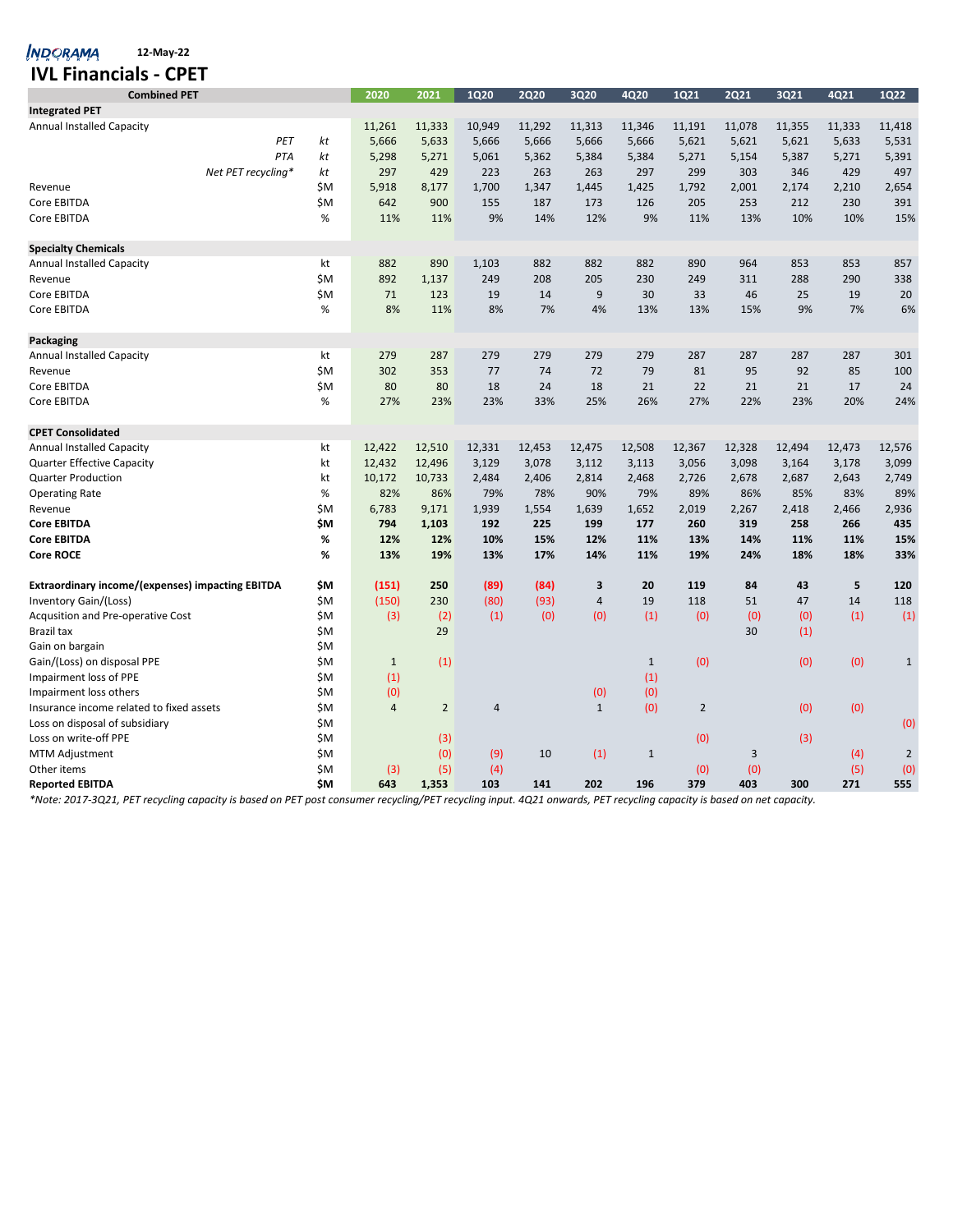| <b>IVL Financials - CPET</b>                            |                    |      |                |                |                |             |              |              |                |             |        |        |                |
|---------------------------------------------------------|--------------------|------|----------------|----------------|----------------|-------------|--------------|--------------|----------------|-------------|--------|--------|----------------|
| <b>Combined PET</b>                                     |                    |      | 2020           | 2021           | <b>1Q20</b>    | <b>2Q20</b> | 3Q20         | 4Q20         | 1Q21           | <b>2Q21</b> | 3Q21   | 4Q21   | <b>1Q22</b>    |
| <b>Integrated PET</b>                                   |                    |      |                |                |                |             |              |              |                |             |        |        |                |
| <b>Annual Installed Capacity</b>                        |                    |      | 11,261         | 11,333         | 10,949         | 11,292      | 11,313       | 11,346       | 11,191         | 11,078      | 11,355 | 11,333 | 11,418         |
|                                                         | PET                | kt   | 5,666          | 5,633          | 5,666          | 5,666       | 5,666        | 5,666        | 5,621          | 5,621       | 5,621  | 5,633  | 5,531          |
|                                                         | PTA                | kt   | 5,298          | 5,271          | 5,061          | 5,362       | 5,384        | 5,384        | 5,271          | 5,154       | 5,387  | 5,271  | 5,391          |
|                                                         | Net PET recycling* | kt   | 297            | 429            | 223            | 263         | 263          | 297          | 299            | 303         | 346    | 429    | 497            |
| Revenue                                                 |                    | ŚΜ   | 5,918          | 8,177          | 1,700          | 1,347       | 1,445        | 1,425        | 1,792          | 2,001       | 2,174  | 2,210  | 2,654          |
| Core EBITDA                                             |                    | \$M  | 642            | 900            | 155            | 187         | 173          | 126          | 205            | 253         | 212    | 230    | 391            |
| Core EBITDA                                             |                    | %    | 11%            | 11%            | 9%             | 14%         | 12%          | 9%           | 11%            | 13%         | 10%    | 10%    | 15%            |
| <b>Specialty Chemicals</b>                              |                    |      |                |                |                |             |              |              |                |             |        |        |                |
| <b>Annual Installed Capacity</b>                        |                    | kt   | 882            | 890            | 1,103          | 882         | 882          | 882          | 890            | 964         | 853    | 853    | 857            |
| Revenue                                                 |                    | \$M  | 892            | 1,137          | 249            | 208         | 205          | 230          | 249            | 311         | 288    | 290    | 338            |
| Core EBITDA                                             |                    | \$M  | 71             | 123            | 19             | 14          | 9            | 30           | 33             | 46          | 25     | 19     | 20             |
| Core EBITDA                                             |                    | $\%$ | 8%             | 11%            | 8%             | 7%          | 4%           | 13%          | 13%            | 15%         | 9%     | 7%     | 6%             |
| Packaging                                               |                    |      |                |                |                |             |              |              |                |             |        |        |                |
| <b>Annual Installed Capacity</b>                        |                    | kt   | 279            | 287            | 279            | 279         | 279          | 279          | 287            | 287         | 287    | 287    | 301            |
| Revenue                                                 |                    | \$M  | 302            | 353            | 77             | 74          | 72           | 79           | 81             | 95          | 92     | 85     | 100            |
| Core EBITDA                                             |                    | \$M  | 80             | 80             | 18             | 24          | 18           | 21           | 22             | 21          | 21     | 17     | 24             |
| Core EBITDA                                             |                    | %    | 27%            | 23%            | 23%            | 33%         | 25%          | 26%          | 27%            | 22%         | 23%    | 20%    | 24%            |
| <b>CPET Consolidated</b>                                |                    |      |                |                |                |             |              |              |                |             |        |        |                |
| <b>Annual Installed Capacity</b>                        |                    | kt   | 12,422         | 12,510         | 12,331         | 12,453      | 12,475       | 12,508       | 12,367         | 12,328      | 12,494 | 12,473 | 12,576         |
| <b>Quarter Effective Capacity</b>                       |                    | kt   | 12,432         | 12,496         | 3,129          | 3,078       | 3,112        | 3,113        | 3,056          | 3,098       | 3,164  | 3,178  | 3,099          |
| <b>Quarter Production</b>                               |                    | kt   | 10,172         | 10,733         | 2,484          | 2,406       | 2,814        | 2,468        | 2,726          | 2,678       | 2,687  | 2,643  | 2,749          |
| <b>Operating Rate</b>                                   |                    | %    | 82%            | 86%            | 79%            | 78%         | 90%          | 79%          | 89%            | 86%         | 85%    | 83%    | 89%            |
| Revenue                                                 |                    | \$M  | 6,783          | 9,171          | 1,939          | 1,554       | 1,639        | 1,652        | 2,019          | 2,267       | 2,418  | 2,466  | 2,936          |
| <b>Core EBITDA</b>                                      |                    | \$M  | 794            | 1,103          | 192            | 225         | 199          | 177          | 260            | 319         | 258    | 266    | 435            |
| <b>Core EBITDA</b>                                      |                    | %    | 12%            | 12%            | 10%            | 15%         | 12%          | 11%          | 13%            | 14%         | 11%    | 11%    | 15%            |
| <b>Core ROCE</b>                                        |                    | %    | 13%            | 19%            | 13%            | 17%         | 14%          | 11%          | 19%            | 24%         | 18%    | 18%    | 33%            |
| <b>Extraordinary income/(expenses) impacting EBITDA</b> |                    | \$M  | (151)          | 250            | (89)           | (84)        | 3            | 20           | 119            | 84          | 43     | 5      | 120            |
| Inventory Gain/(Loss)                                   |                    | \$M  | (150)          | 230            | (80)           | (93)        | $\sqrt{4}$   | 19           | 118            | 51          | 47     | 14     | 118            |
| Acqusition and Pre-operative Cost                       |                    | \$M  | (3)            | (2)            | (1)            | (0)         | (0)          | (1)          | (0)            | (0)         | (0)    | (1)    | (1)            |
| Brazil tax                                              |                    | \$M  |                | 29             |                |             |              |              |                | 30          | (1)    |        |                |
| Gain on bargain                                         |                    | \$M  |                |                |                |             |              |              |                |             |        |        |                |
| Gain/(Loss) on disposal PPE                             |                    | \$M  | $\mathbf{1}$   | (1)            |                |             |              | $\mathbf{1}$ | (0)            |             | (0)    | (0)    | $1\,$          |
| Impairment loss of PPE                                  |                    | \$M  | (1)            |                |                |             |              | (1)          |                |             |        |        |                |
| Impairment loss others                                  |                    | \$M  | (0)            |                |                |             | (0)          | (0)          |                |             |        |        |                |
| Insurance income related to fixed assets                |                    | \$M  | $\overline{4}$ | $\overline{2}$ | $\overline{4}$ |             | $\mathbf{1}$ | (0)          | $\overline{2}$ |             | (0)    | (0)    |                |
| Loss on disposal of subsidiary                          |                    | \$M  |                |                |                |             |              |              |                |             |        |        | (0)            |
| Loss on write-off PPE                                   |                    | \$M  |                | (3)            |                |             |              |              | (0)            |             | (3)    |        |                |
| <b>MTM Adjustment</b>                                   |                    | \$M  |                | (0)            | (9)            | 10          | (1)          | $\mathbf{1}$ |                | 3           |        | (4)    | $\overline{2}$ |
| Other items                                             |                    | ŚΜ   | (3)            | (5)            | (4)            |             |              |              | (0)            | (0)         |        | (5)    | (0)            |
| <b>Reported EBITDA</b>                                  |                    | \$Μ  | 643            | 1,353          | 103            | 141         | 202          | 196          | 379            | 403         | 300    | 271    | 555            |

**12-May-22**

*INDORAMA* 

*\*Note: 2017-3Q21, PET recycling capacity is based on PET post consumer recycling/PET recycling input. 4Q21 onwards, PET recycling capacity is based on net capacity.*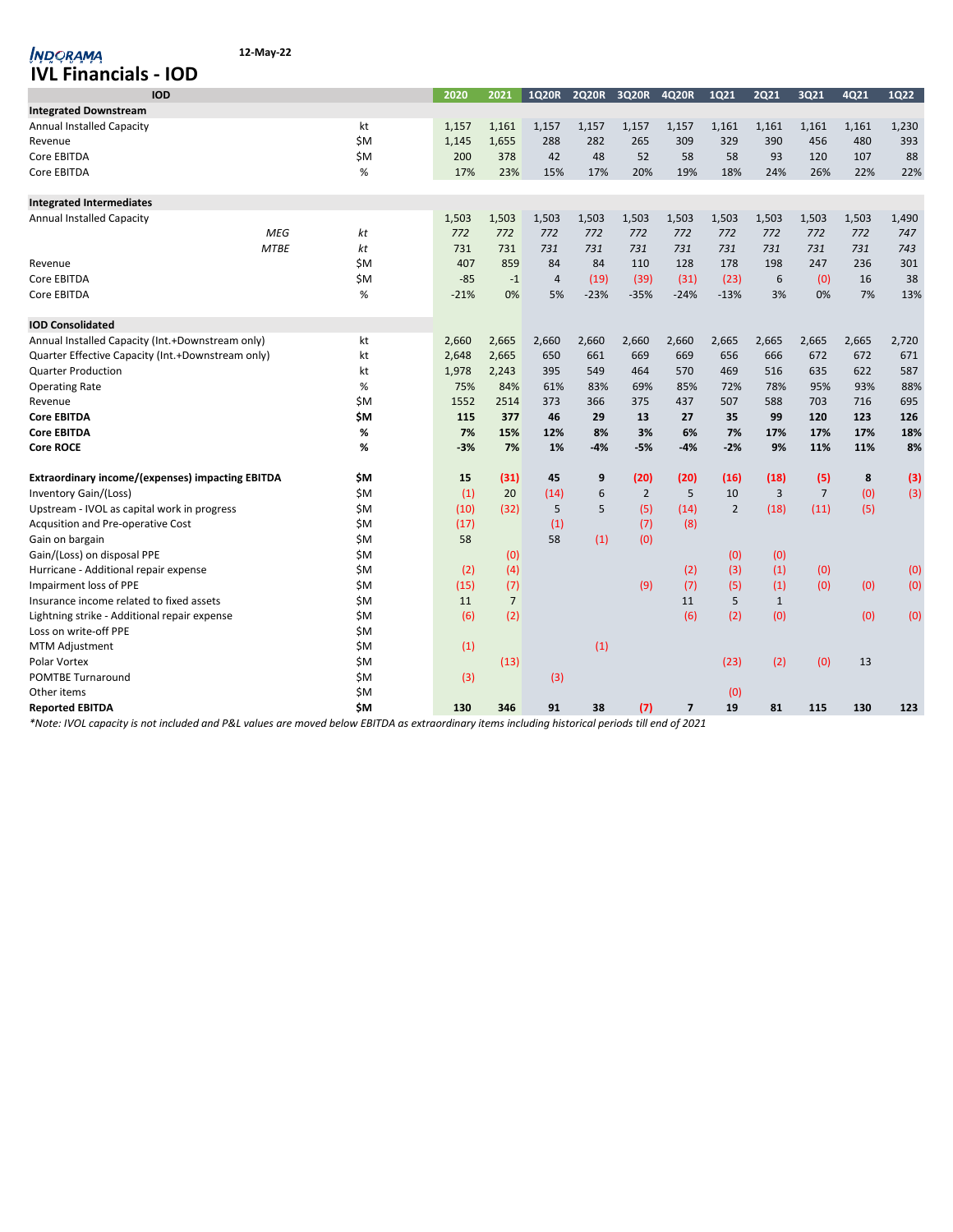| <b>IVL Financials - IOD</b>                             |                   |        |                |                |              |                |                |                |              |                |       |             |
|---------------------------------------------------------|-------------------|--------|----------------|----------------|--------------|----------------|----------------|----------------|--------------|----------------|-------|-------------|
| <b>IOD</b>                                              |                   | 2020   | 2021           | <b>1Q20R</b>   | <b>2Q20R</b> | 3Q20R          | 4Q20R          | 1Q21           | <b>2Q21</b>  | 3Q21           | 4Q21  | <b>1Q22</b> |
| <b>Integrated Downstream</b>                            |                   |        |                |                |              |                |                |                |              |                |       |             |
| <b>Annual Installed Capacity</b>                        | kt                | 1,157  | 1,161          | 1,157          | 1,157        | 1,157          | 1,157          | 1,161          | 1,161        | 1,161          | 1,161 | 1,230       |
| Revenue                                                 | \$M               | 1,145  | 1,655          | 288            | 282          | 265            | 309            | 329            | 390          | 456            | 480   | 393         |
| Core EBITDA                                             | \$M               | 200    | 378            | 42             | 48           | 52             | 58             | 58             | 93           | 120            | 107   | 88          |
| Core EBITDA                                             | $\%$              | 17%    | 23%            | 15%            | 17%          | 20%            | 19%            | 18%            | 24%          | 26%            | 22%   | 22%         |
| <b>Integrated Intermediates</b>                         |                   |        |                |                |              |                |                |                |              |                |       |             |
| <b>Annual Installed Capacity</b>                        |                   | 1,503  | 1,503          | 1,503          | 1,503        | 1,503          | 1,503          | 1,503          | 1,503        | 1,503          | 1,503 | 1,490       |
|                                                         | <b>MEG</b><br>kt  | 772    | 772            | 772            | 772          | 772            | 772            | 772            | 772          | 772            | 772   | 747         |
|                                                         | <b>MTBE</b><br>kt | 731    | 731            | 731            | 731          | 731            | 731            | 731            | 731          | 731            | 731   | 743         |
| Revenue                                                 | \$M               | 407    | 859            | 84             | 84           | 110            | 128            | 178            | 198          | 247            | 236   | 301         |
| Core EBITDA                                             | \$M               | $-85$  | $-1$           | $\overline{4}$ | (19)         | (39)           | (31)           | (23)           | 6            | (0)            | 16    | 38          |
| Core EBITDA                                             | %                 | $-21%$ | 0%             | 5%             | $-23%$       | $-35%$         | $-24%$         | $-13%$         | 3%           | 0%             | 7%    | 13%         |
| <b>IOD Consolidated</b>                                 |                   |        |                |                |              |                |                |                |              |                |       |             |
| Annual Installed Capacity (Int.+Downstream only)        | kt                | 2,660  | 2,665          | 2,660          | 2,660        | 2,660          | 2,660          | 2,665          | 2,665        | 2,665          | 2,665 | 2,720       |
| Quarter Effective Capacity (Int.+Downstream only)       | kt                | 2.648  | 2,665          | 650            | 661          | 669            | 669            | 656            | 666          | 672            | 672   | 671         |
| <b>Quarter Production</b>                               | kt                | 1,978  | 2,243          | 395            | 549          | 464            | 570            | 469            | 516          | 635            | 622   | 587         |
| <b>Operating Rate</b>                                   | %                 | 75%    | 84%            | 61%            | 83%          | 69%            | 85%            | 72%            | 78%          | 95%            | 93%   | 88%         |
| Revenue                                                 | \$Μ               | 1552   | 2514           | 373            | 366          | 375            | 437            | 507            | 588          | 703            | 716   | 695         |
| <b>Core EBITDA</b>                                      | \$M               | 115    | 377            | 46             | 29           | 13             | 27             | 35             | 99           | 120            | 123   | 126         |
| <b>Core EBITDA</b>                                      | %                 | 7%     | 15%            | 12%            | 8%           | 3%             | 6%             | 7%             | 17%          | 17%            | 17%   | 18%         |
| <b>Core ROCE</b>                                        | %                 | -3%    | 7%             | 1%             | $-4%$        | $-5%$          | $-4%$          | $-2%$          | 9%           | 11%            | 11%   | 8%          |
| <b>Extraordinary income/(expenses) impacting EBITDA</b> | \$M               | 15     | (31)           | 45             | 9            | (20)           | (20)           | (16)           | (18)         | (5)            | 8     | (3)         |
| Inventory Gain/(Loss)                                   | \$M               | (1)    | 20             | (14)           | 6            | $\overline{2}$ | 5              | 10             | 3            | $\overline{7}$ | (0)   | (3)         |
| Upstream - IVOL as capital work in progress             | \$M               | (10)   | (32)           | 5              | 5            | (5)            | (14)           | $\overline{2}$ | (18)         | (11)           | (5)   |             |
| Acqusition and Pre-operative Cost                       | \$M               | (17)   |                | (1)            |              | (7)            | (8)            |                |              |                |       |             |
| Gain on bargain                                         | \$M               | 58     |                | 58             | (1)          | (0)            |                |                |              |                |       |             |
| Gain/(Loss) on disposal PPE                             | \$M               |        | (0)            |                |              |                |                | (0)            | (0)          |                |       |             |
| Hurricane - Additional repair expense                   | \$M               | (2)    | (4)            |                |              |                | (2)            | (3)            | (1)          | (0)            |       | (0)         |
| Impairment loss of PPE                                  | \$M               | (15)   | (7)            |                |              | (9)            | (7)            | (5)            | (1)          | (0)            | (0)   | (0)         |
| Insurance income related to fixed assets                | \$M               | 11     | $\overline{7}$ |                |              |                | 11             | 5              | $\mathbf{1}$ |                |       |             |
| Lightning strike - Additional repair expense            | \$M               | (6)    | (2)            |                |              |                | (6)            | (2)            | (0)          |                | (0)   | (0)         |
| Loss on write-off PPE                                   | \$M               |        |                |                |              |                |                |                |              |                |       |             |
| <b>MTM Adjustment</b>                                   | \$M               | (1)    |                |                | (1)          |                |                |                |              |                |       |             |
| Polar Vortex                                            | \$M               |        | (13)           |                |              |                |                | (23)           | (2)          | (0)            | 13    |             |
| <b>POMTBE Turnaround</b>                                | \$M               | (3)    |                | (3)            |              |                |                |                |              |                |       |             |
| Other items                                             | \$M               |        |                |                |              |                |                | (0)            |              |                |       |             |
| <b>Reported EBITDA</b>                                  | \$Μ               | 130    | 346            | 91             | 38           | (7)            | $\overline{7}$ | 19             | 81           | 115            | 130   | 123         |

*\*Note: IVOL capacity is not included and P&L values are moved below EBITDA as extraordinary items including historical periods till end of 2021*

**12-May-22**

**INDORAMA**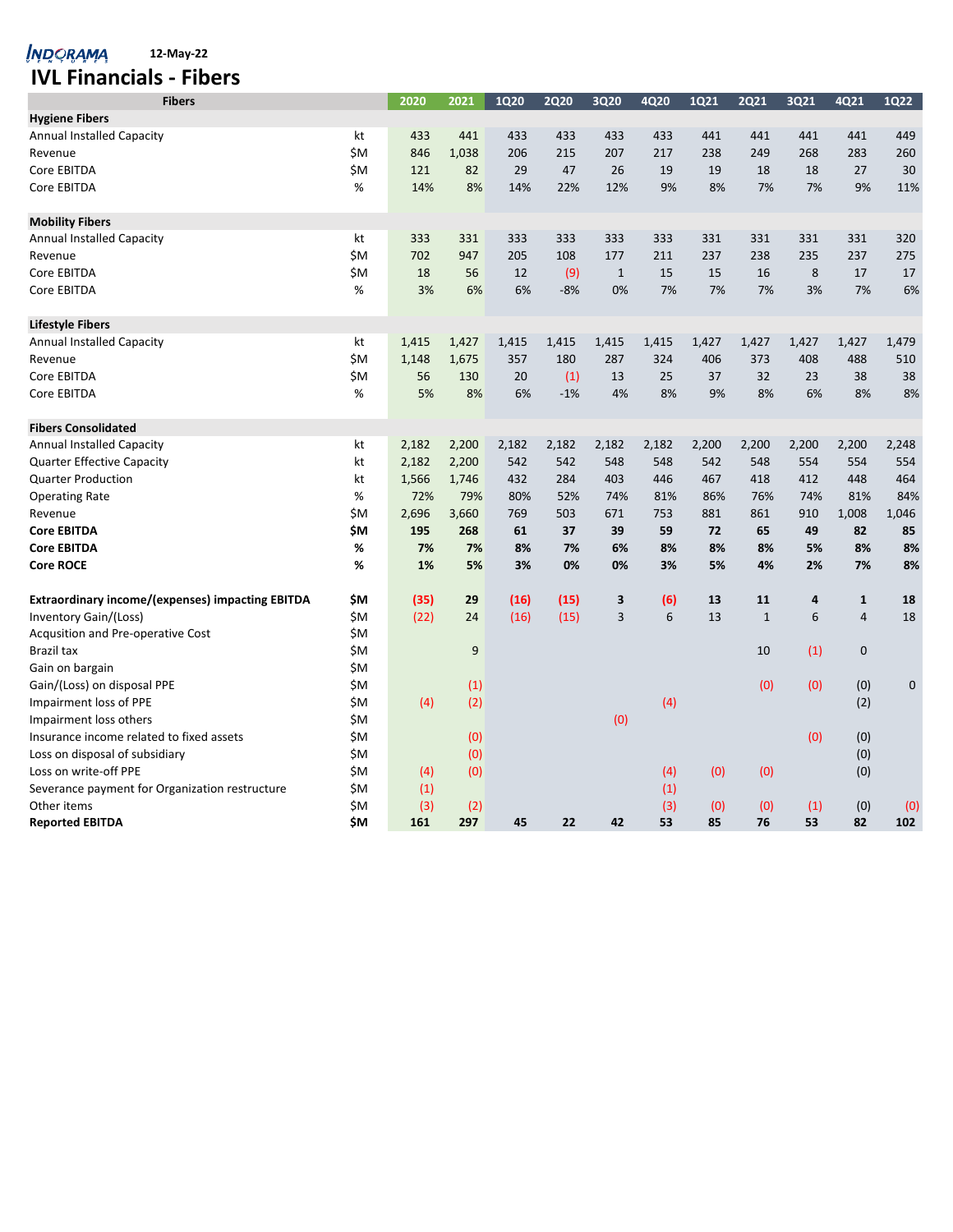*NDORAMA* 12-May-22

# **IVL Financials - Fibers**

| <b>Fibers</b>                                           |     | 2020  | 2021  | <b>1Q20</b> | <b>2Q20</b> | 3Q20         | 4Q20  | 1Q21  | <b>2Q21</b>  | 3Q21  | 4Q21           | <b>1Q22</b> |
|---------------------------------------------------------|-----|-------|-------|-------------|-------------|--------------|-------|-------|--------------|-------|----------------|-------------|
| <b>Hygiene Fibers</b>                                   |     |       |       |             |             |              |       |       |              |       |                |             |
| <b>Annual Installed Capacity</b>                        | kt  | 433   | 441   | 433         | 433         | 433          | 433   | 441   | 441          | 441   | 441            | 449         |
| Revenue                                                 | ŚΜ  | 846   | 1,038 | 206         | 215         | 207          | 217   | 238   | 249          | 268   | 283            | 260         |
| Core EBITDA                                             | \$M | 121   | 82    | 29          | 47          | 26           | 19    | 19    | 18           | 18    | 27             | 30          |
| Core EBITDA                                             | %   | 14%   | 8%    | 14%         | 22%         | 12%          | 9%    | 8%    | 7%           | 7%    | 9%             | 11%         |
| <b>Mobility Fibers</b>                                  |     |       |       |             |             |              |       |       |              |       |                |             |
| Annual Installed Capacity                               | kt  | 333   | 331   | 333         | 333         | 333          | 333   | 331   | 331          | 331   | 331            | 320         |
| Revenue                                                 | ŚM  | 702   | 947   | 205         | 108         | 177          | 211   | 237   | 238          | 235   | 237            | 275         |
| Core EBITDA                                             | ŚM  | 18    | 56    | 12          | (9)         | $\mathbf{1}$ | 15    | 15    | 16           | 8     | 17             | 17          |
| Core EBITDA                                             | %   | 3%    | 6%    | 6%          | $-8%$       | 0%           | 7%    | 7%    | 7%           | 3%    | 7%             | 6%          |
| <b>Lifestyle Fibers</b>                                 |     |       |       |             |             |              |       |       |              |       |                |             |
| <b>Annual Installed Capacity</b>                        | kt  | 1,415 | 1,427 | 1,415       | 1,415       | 1,415        | 1,415 | 1,427 | 1,427        | 1,427 | 1,427          | 1,479       |
| Revenue                                                 | \$M | 1,148 | 1,675 | 357         | 180         | 287          | 324   | 406   | 373          | 408   | 488            | 510         |
| Core EBITDA                                             | \$M | 56    | 130   | 20          | (1)         | 13           | 25    | 37    | 32           | 23    | 38             | 38          |
| Core EBITDA                                             | %   | 5%    | 8%    | 6%          | $-1%$       | 4%           | 8%    | 9%    | 8%           | 6%    | 8%             | 8%          |
| <b>Fibers Consolidated</b>                              |     |       |       |             |             |              |       |       |              |       |                |             |
| Annual Installed Capacity                               | kt  | 2,182 | 2,200 | 2,182       | 2,182       | 2,182        | 2,182 | 2,200 | 2,200        | 2,200 | 2,200          | 2,248       |
| <b>Quarter Effective Capacity</b>                       | kt  | 2,182 | 2,200 | 542         | 542         | 548          | 548   | 542   | 548          | 554   | 554            | 554         |
| <b>Quarter Production</b>                               | kt  | 1,566 | 1,746 | 432         | 284         | 403          | 446   | 467   | 418          | 412   | 448            | 464         |
| <b>Operating Rate</b>                                   | %   | 72%   | 79%   | 80%         | 52%         | 74%          | 81%   | 86%   | 76%          | 74%   | 81%            | 84%         |
| Revenue                                                 | ŚΜ  | 2,696 | 3,660 | 769         | 503         | 671          | 753   | 881   | 861          | 910   | 1,008          | 1,046       |
| <b>Core EBITDA</b>                                      | \$M | 195   | 268   | 61          | 37          | 39           | 59    | 72    | 65           | 49    | 82             | 85          |
| <b>Core EBITDA</b>                                      | %   | 7%    | 7%    | 8%          | 7%          | 6%           | 8%    | 8%    | 8%           | 5%    | 8%             | 8%          |
| <b>Core ROCE</b>                                        | %   | 1%    | 5%    | 3%          | 0%          | 0%           | 3%    | 5%    | 4%           | 2%    | 7%             | 8%          |
| <b>Extraordinary income/(expenses) impacting EBITDA</b> | \$M | (35)  | 29    | (16)        | (15)        | 3            | (6)   | 13    | 11           | 4     | $\mathbf{1}$   | 18          |
| Inventory Gain/(Loss)                                   | \$M | (22)  | 24    | (16)        | (15)        | 3            | 6     | 13    | $\mathbf{1}$ | 6     | $\overline{4}$ | 18          |
| Acqusition and Pre-operative Cost                       | \$M |       |       |             |             |              |       |       |              |       |                |             |
| <b>Brazil tax</b>                                       | \$Μ |       | 9     |             |             |              |       |       | 10           | (1)   | $\mathbf 0$    |             |
| Gain on bargain                                         | ŚΜ. |       |       |             |             |              |       |       |              |       |                |             |
| Gain/(Loss) on disposal PPE                             | \$M |       | (1)   |             |             |              |       |       | (0)          | (0)   | (0)            | $\pmb{0}$   |
| Impairment loss of PPE                                  | \$M | (4)   | (2)   |             |             |              | (4)   |       |              |       | (2)            |             |
| Impairment loss others                                  | \$Μ |       |       |             |             | (0)          |       |       |              |       |                |             |
| Insurance income related to fixed assets                | \$M |       | (0)   |             |             |              |       |       |              | (0)   | (0)            |             |
| Loss on disposal of subsidiary                          | \$M |       | (0)   |             |             |              |       |       |              |       | (0)            |             |
| Loss on write-off PPE                                   | ŚΜ  | (4)   | (0)   |             |             |              | (4)   | (0)   | (0)          |       | (0)            |             |
| Severance payment for Organization restructure          | \$M | (1)   |       |             |             |              | (1)   |       |              |       |                |             |
| Other items                                             | \$M | (3)   | (2)   |             |             |              | (3)   | (0)   | (0)          | (1)   | (0)            | (0)         |
| <b>Reported EBITDA</b>                                  | \$M | 161   | 297   | 45          | 22          | 42           | 53    | 85    | 76           | 53    | 82             | 102         |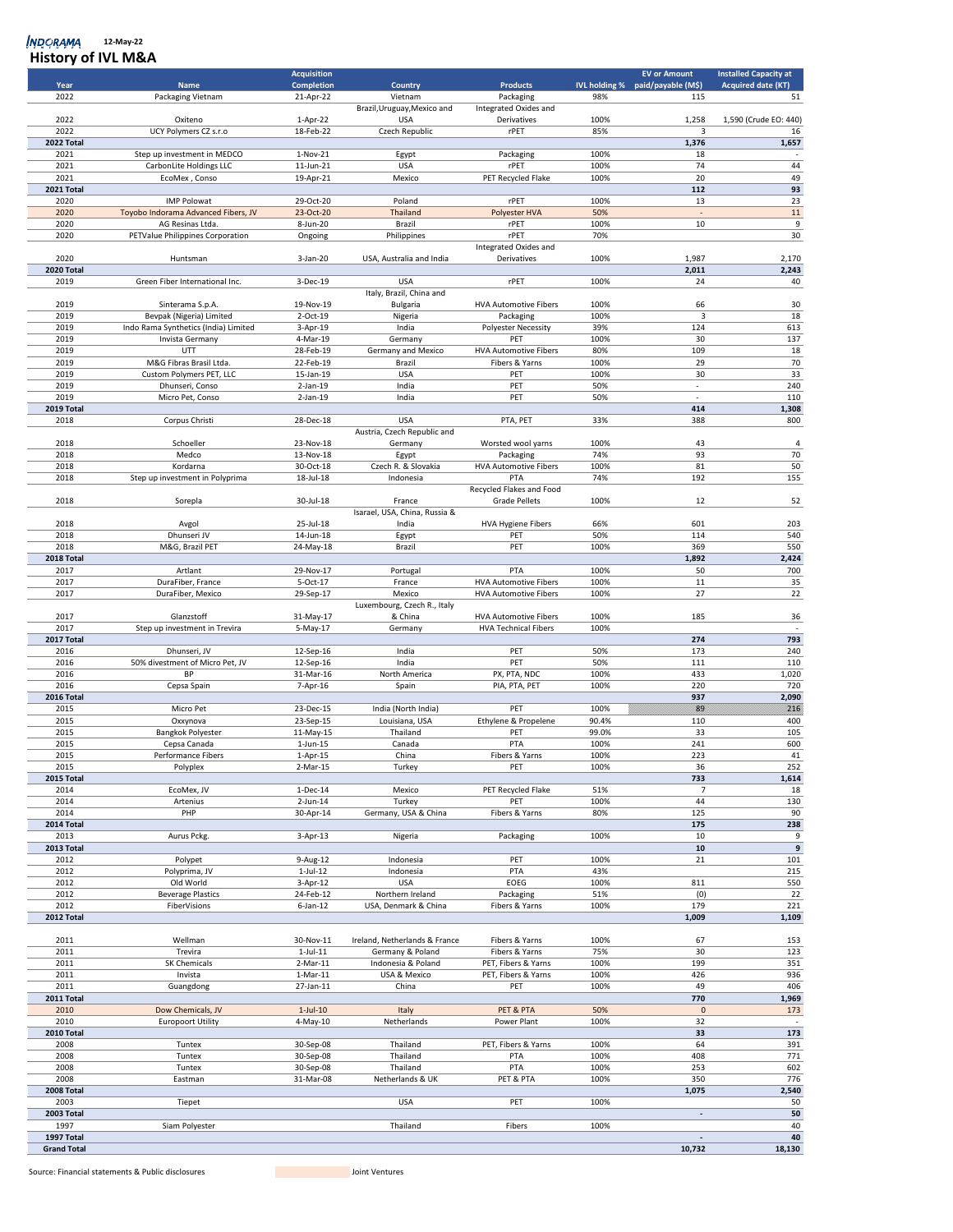| <b>INSIDIY OF IVE IVIGA</b> |                                      |                        |                               |                                      |              |                                  |                              |
|-----------------------------|--------------------------------------|------------------------|-------------------------------|--------------------------------------|--------------|----------------------------------|------------------------------|
|                             |                                      | <b>Acquisition</b>     |                               |                                      |              | <b>EV or Amount</b>              | <b>Installed Capacity at</b> |
| Year                        | <b>Name</b>                          | <b>Completion</b>      | Country                       | <b>Products</b>                      |              | IVL holding % paid/payable (M\$) | <b>Acquired date (KT)</b>    |
| 2022                        | Packaging Vietnam                    | 21-Apr-22              | Vietnam                       | Packaging                            | 98%          | 115                              | 51                           |
|                             |                                      |                        | Brazil, Uruguay, Mexico and   | Integrated Oxides and                |              |                                  |                              |
| 2022<br>2022                | Oxiteno<br>UCY Polymers CZ s.r.o     | 1-Apr-22               | <b>USA</b>                    | Derivatives                          | 100%<br>85%  | 1,258                            | 1,590 (Crude EO: 440)        |
| 2022 Total                  |                                      | 18-Feb-22              | Czech Republic                | rPET                                 |              | 3<br>1,376                       | 16<br>1,657                  |
| 2021                        | Step up investment in MEDCO          | $1-Nov-21$             |                               | Packaging                            | 100%         | 18                               |                              |
| 2021                        | <b>CarbonLite Holdings LLC</b>       | 11-Jun-21              | Egypt<br><b>USA</b>           | rPET                                 | 100%         | 74                               | 44                           |
| 2021                        | EcoMex, Conso                        | 19-Apr-21              | Mexico                        | PET Recycled Flake                   | 100%         | 20                               | 49                           |
| 2021 Total                  |                                      |                        |                               |                                      |              | 112                              | 93                           |
| 2020                        | <b>IMP Polowat</b>                   | 29-Oct-20              | Poland                        | rPET                                 | 100%         | 13                               | 23                           |
| 2020                        | Toyobo Indorama Advanced Fibers, JV  | 23-Oct-20              | Thailand                      | Polyester HVA                        | 50%          | $\overline{a}$                   | $11\,$                       |
| 2020                        | AG Resinas Ltda.                     | 8-Jun-20               | Brazil                        | rPET                                 | 100%         | 10                               | 9                            |
| 2020                        | PETValue Philippines Corporation     |                        |                               | rPET                                 | 70%          |                                  | 30                           |
|                             |                                      | Ongoing                | Philippines                   |                                      |              |                                  |                              |
| 2020                        | Huntsman                             | 3-Jan-20               | USA, Australia and India      | Integrated Oxides and<br>Derivatives | 100%         | 1,987                            | 2,170                        |
|                             |                                      |                        |                               |                                      |              |                                  |                              |
| 2020 Total                  |                                      |                        |                               |                                      |              | 2,011                            | 2,243                        |
| 2019                        | Green Fiber International Inc.       | 3-Dec-19               | <b>USA</b>                    | rPET                                 | 100%         | 24                               | 40                           |
|                             |                                      |                        | Italy, Brazil, China and      |                                      |              |                                  |                              |
| 2019<br>2019                | Sinterama S.p.A.                     | 19-Nov-19              | <b>Bulgaria</b>               | <b>HVA Automotive Fibers</b>         | 100%         | 66                               | 30                           |
|                             | Bevpak (Nigeria) Limited             | 2-Oct-19               | Nigeria                       | Packaging                            | 100%         | 3                                | 18                           |
| 2019                        | Indo Rama Synthetics (India) Limited | 3-Apr-19               | India                         | Polyester Necessity                  | 39%          | 124                              | 613                          |
| 2019                        | Invista Germany                      | 4-Mar-19               | Germany                       | PET                                  | 100%         | 30                               | 137                          |
| 2019                        | UTT                                  | 28-Feb-19              | Germany and Mexico            | <b>HVA Automotive Fibers</b>         | 80%          | 109                              | 18                           |
| 2019                        | M&G Fibras Brasil Ltda.              | 22-Feb-19              | Brazil                        | Fibers & Yarns                       | 100%         | 29                               | 70                           |
| 2019                        | Custom Polymers PET, LLC             | 15-Jan-19              | <b>USA</b>                    | PET                                  | 100%         | 30                               | 33                           |
| 2019                        | Dhunseri, Conso                      | $2$ -Jan-19            | India                         | PET                                  | 50%          | ÷,                               | 240                          |
| 2019                        | Micro Pet, Conso                     | $2$ -Jan-19            | India                         | PET                                  | 50%          | ×,                               | 110                          |
| 2019 Total                  |                                      |                        |                               |                                      |              | 414                              | 1,308                        |
| 2018                        | Corpus Christi                       | 28-Dec-18              | <b>USA</b>                    | PTA, PET                             | 33%          | 388                              | 800                          |
|                             |                                      |                        | Austria, Czech Republic and   |                                      |              |                                  |                              |
| 2018                        | Schoeller                            | 23-Nov-18              | Germany                       | Worsted wool yarns                   | 100%         | 43                               | $\overline{4}$               |
| 2018                        | Medco                                | 13-Nov-18              | Egypt                         | Packaging                            | 74%          | 93                               | 70                           |
| 2018                        | Kordarna                             | 30-Oct-18              | Czech R. & Slovakia           | <b>HVA Automotive Fibers</b>         | 100%         | 81                               | 50                           |
| 2018                        | Step up investment in Polyprima      | 18-Jul-18              | Indonesia                     | PTA                                  | 74%          | 192                              | 155                          |
|                             |                                      |                        |                               | Recycled Flakes and Food             |              |                                  |                              |
| 2018                        | Sorepla                              | 30-Jul-18              | France                        | <b>Grade Pellets</b>                 | 100%         | 12                               | 52                           |
|                             |                                      |                        | Isarael, USA, China, Russia & |                                      |              |                                  |                              |
| 2018                        | Avgol                                | 25-Jul-18              | India                         | <b>HVA Hygiene Fibers</b>            | 66%          | 601                              | 203                          |
| 2018                        | Dhunseri JV                          | 14-Jun-18              | Egypt                         | PET                                  | 50%          | 114                              | 540                          |
| 2018                        | M&G, Brazil PET                      | 24-May-18              | Brazil                        | PET                                  | 100%         | 369                              | 550                          |
| 2018 Total                  |                                      |                        |                               |                                      |              | 1,892                            | 2,424                        |
| 2017                        | Artlant                              | 29-Nov-17              | Portugal                      | PTA                                  | 100%         | 50                               | 700                          |
| 2017                        | DuraFiber, France                    | 5-Oct-17               | France                        | <b>HVA Automotive Fibers</b>         | 100%         | 11                               | 35                           |
| 2017                        | DuraFiber, Mexico                    | 29-Sep-17              | Mexico                        | <b>HVA Automotive Fibers</b>         | 100%         | 27                               | 22                           |
|                             |                                      |                        | Luxembourg, Czech R., Italy   |                                      |              |                                  |                              |
| 2017                        | Glanzstoff                           | 31-May-17              | & China                       | <b>HVA Automotive Fibers</b>         | 100%         | 185                              | 36                           |
| 2017                        | Step up investment in Trevira        | 5-May-17               | Germany                       | <b>HVA Technical Fibers</b>          | 100%         |                                  |                              |
| 2017 Total                  |                                      |                        |                               |                                      |              | 274                              | 793                          |
| 2016                        | Dhunseri, JV                         | 12-Sep-16              | India                         | PET                                  | 50%          | 173                              | 240                          |
| 2016                        | 50% divestment of Micro Pet, JV      | 12-Sep-16              | India                         | PET                                  | 50%          | 111                              | 110                          |
| 2016                        | BP                                   | 31-Mar-16              | North America                 | PX, PTA, NDC                         | 100%         | 433                              | 1,020                        |
| 2016                        | Cepsa Spain                          | 7-Apr-16               | Spain                         | PIA, PTA, PET                        | 100%         | 220                              | 720                          |
| 2016 Total                  |                                      |                        |                               |                                      |              | 937                              | 2,090                        |
| 2015                        | Micro Pet                            | 23-Dec-15              | India (North India)           | PET                                  | 100%         | 89                               | 216                          |
| 2015                        | Oxxynova                             | 23-Sep-15              | Louisiana, USA                | Ethylene & Propelene                 | 90.4%        | 110                              | 400                          |
| 2015                        | <b>Bangkok Polyester</b>             | 11-May-15              | Thailand                      | PET                                  | 99.0%        | 33                               | 105                          |
| 2015                        | Cepsa Canada                         | $1$ -Jun- $15$         | Canada                        | PTA                                  | 100%         | 241                              | 600                          |
| 2015                        | Performance Fibers                   | 1-Apr-15               | China                         | Fibers & Yarns                       | 100%         | 223                              | 41                           |
| 2015                        | Polyplex                             | 2-Mar-15               | Turkey                        | PET                                  | 100%         | 36                               | 252                          |
| 2015 Total                  |                                      |                        |                               |                                      |              | 733                              | 1,614                        |
| 2014                        | EcoMex, JV                           | $1-Dec-14$             | Mexico                        | PET Recycled Flake                   | 51%          | $\overline{7}$                   | 18                           |
| 2014                        | Artenius                             | $2$ -Jun-14            | Turkey                        | PET                                  | 100%         | 44                               | 130                          |
| 2014                        | PHP                                  | 30-Apr-14              | Germany, USA & China          | Fibers & Yarns                       | 80%          | 125                              | 90                           |
| 2014 Total                  |                                      |                        |                               |                                      |              | 175                              | 238                          |
| 2013                        | Aurus Pckg.                          | $3-Apr-13$             | Nigeria                       | Packaging                            | 100%         | 10                               | 9                            |
| 2013 Total                  |                                      |                        |                               |                                      |              | 10                               | 9                            |
| 2012                        | Polypet                              | 9-Aug-12               | Indonesia                     | PET                                  | 100%         | 21                               | 101                          |
| 2012                        | Polyprima, JV                        | $1-Jul-12$             | Indonesia                     | PTA                                  | 43%          |                                  | 215                          |
| 2012                        | Old World                            | 3-Apr-12               | <b>USA</b>                    | EOEG                                 | 100%         | 811                              | 550                          |
| 2012                        | <b>Beverage Plastics</b>             | 24-Feb-12              | Northern Ireland              | Packaging                            | 51%          | (0)                              | 22                           |
| 2012                        | FiberVisions                         | $6$ -Jan-12            | USA, Denmark & China          | Fibers & Yarns                       | 100%         | 179                              | 221                          |
| 2012 Total                  |                                      |                        |                               |                                      |              | 1,009                            | 1,109                        |
|                             |                                      |                        |                               |                                      |              |                                  |                              |
| 2011                        | Wellman                              | 30-Nov-11              | Ireland, Netherlands & France | Fibers & Yarns                       | 100%         | 67                               | 153                          |
| 2011                        | Trevira                              | $1$ -Jul- $11$         | Germany & Poland              | Fibers & Yarns                       | 75%          | 30                               | 123                          |
| 2011                        | SK Chemicals                         | $2-Mar-11$             | Indonesia & Poland            | PET, Fibers & Yarns                  | 100%         | 199                              | 351                          |
| 2011                        | Invista                              | $1-Mar-11$             | USA & Mexico                  | PET, Fibers & Yarns                  | 100%         | 426                              | 936                          |
| 2011                        | Guangdong                            | 27-Jan-11              | China                         | PET                                  | 100%         | 49                               | 406                          |
| 2011 Total                  |                                      |                        |                               |                                      |              | 770                              | 1,969                        |
| 2010                        | Dow Chemicals, JV                    | $1-Jul-10$             | Italy                         | PET & PTA                            | 50%          | $\pmb{0}$                        | 173                          |
| 2010                        | <b>Europoort Utility</b>             | 4-May-10               | Netherlands                   | Power Plant                          | 100%         | 32                               | $\overline{\phantom{a}}$     |
| 2010 Total                  |                                      |                        |                               |                                      |              | 33                               | 173                          |
| 2008                        |                                      | 30-Sep-08              |                               |                                      | 100%         | 64                               | 391                          |
|                             | Tuntex                               |                        | Thailand                      | PET, Fibers & Yarns                  |              |                                  |                              |
| 2008<br>2008                | Tuntex<br>Tuntex                     | 30-Sep-08<br>30-Sep-08 | Thailand<br>Thailand          | PTA<br>PTA                           | 100%<br>100% | 408<br>253                       | 771<br>602                   |
|                             |                                      |                        | Netherlands & UK              |                                      |              |                                  |                              |
| 2008                        | Eastman                              | 31-Mar-08              |                               | PET & PTA                            | 100%         | 350                              | 776                          |
| 2008 Total                  |                                      |                        |                               |                                      |              | 1,075                            | 2,540                        |
| 2003                        | Tiepet                               |                        | <b>USA</b>                    | PET                                  | 100%         | ä,                               | 50<br>50                     |
| 2003 Total<br>1997          |                                      |                        |                               |                                      |              |                                  | 40                           |
|                             | Siam Polyester                       |                        | Thailand                      | Fibers                               | 100%         |                                  |                              |
| 1997 Total                  |                                      |                        |                               |                                      |              | $\overline{a}$                   | 40                           |
| <b>Grand Total</b>          |                                      |                        |                               |                                      |              | 10,732                           | 18,130                       |

#### **12-May-22 History of IVL M&A**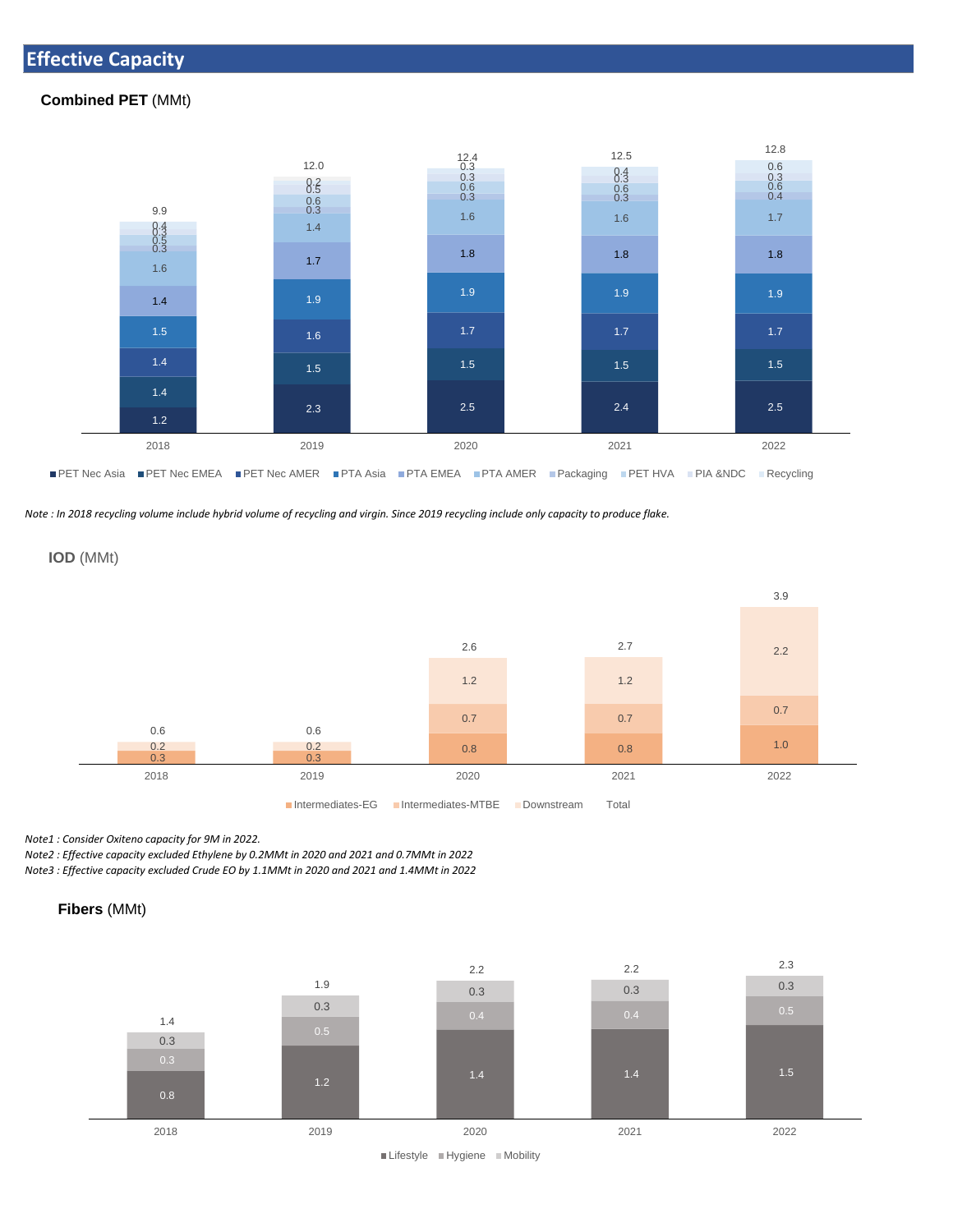## **Effective Capacity**

#### **Combined PET** (MMt)



*Note : In 2018 recycling volume include hybrid volume of recycling and virgin. Since 2019 recycling include only capacity to produce flake.*



*Note1 : Consider Oxiteno capacity for 9M in 2022.* 

*Note2 : Effective capacity excluded Ethylene by 0.2MMt in 2020 and 2021 and 0.7MMt in 2022 Note3 : Effective capacity excluded Crude EO by 1.1MMt in 2020 and 2021 and 1.4MMt in 2022*



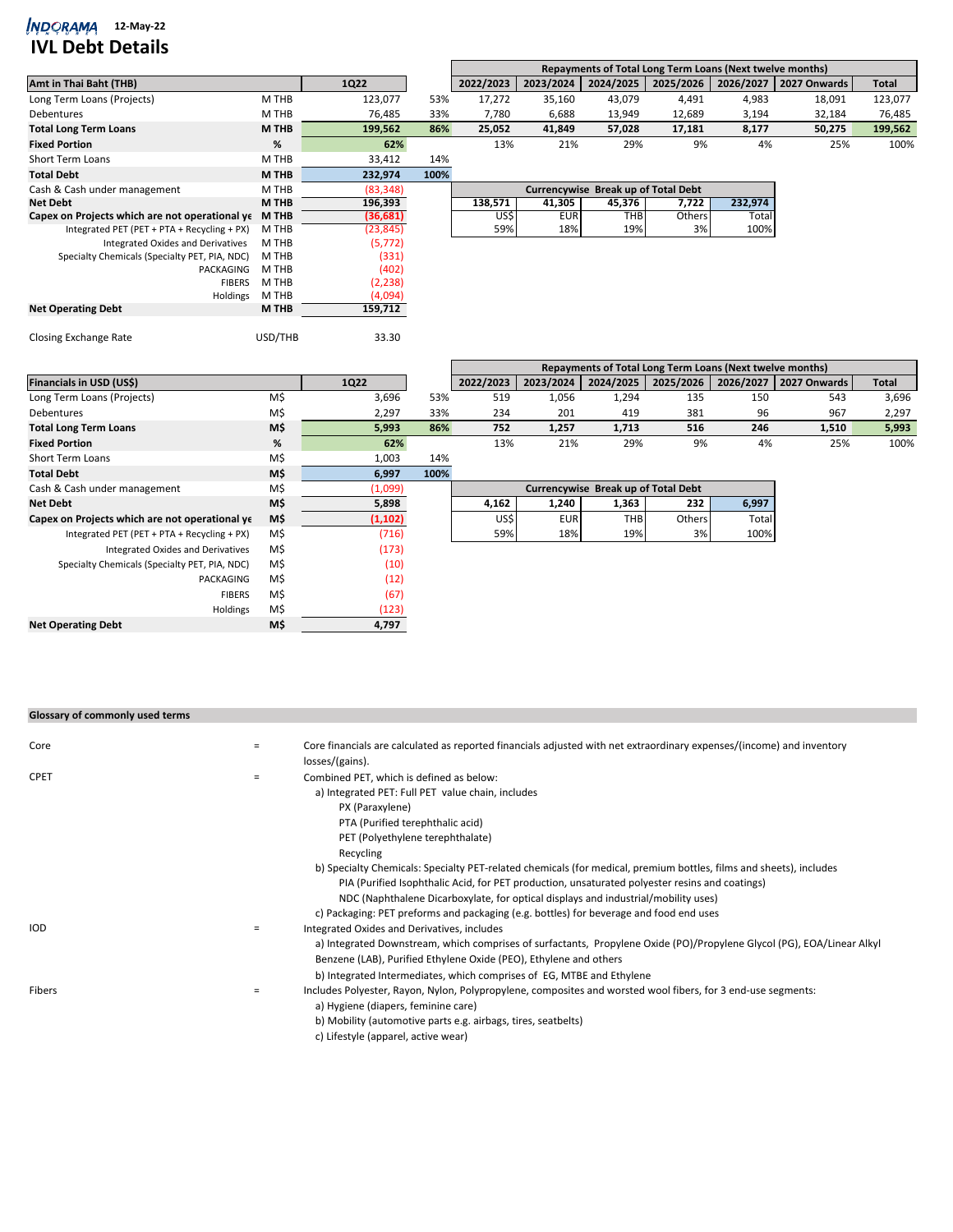## *MDQRAMA* 12-May-22

## **IVL Debt Details**

|                                                |              |           |      | Repayments of Total Long Term Loans (Next twelve months) |            |                                     |                                                          |           |              |              |  |  |  |
|------------------------------------------------|--------------|-----------|------|----------------------------------------------------------|------------|-------------------------------------|----------------------------------------------------------|-----------|--------------|--------------|--|--|--|
| Amt in Thai Baht (THB)                         |              | 1Q22      |      | 2022/2023                                                | 2023/2024  | 2024/2025                           | 2025/2026                                                | 2026/2027 | 2027 Onwards | <b>Total</b> |  |  |  |
| Long Term Loans (Projects)                     | M THB        | 123,077   | 53%  | 17,272                                                   | 35,160     | 43.079                              | 4,491                                                    | 4,983     | 18,091       | 123,077      |  |  |  |
| <b>Debentures</b>                              | M THB        | 76,485    | 33%  | 7,780                                                    | 6,688      | 13,949                              | 12,689                                                   | 3,194     | 32,184       | 76,485       |  |  |  |
| <b>Total Long Term Loans</b>                   | <b>M THB</b> | 199,562   | 86%  | 25,052                                                   | 41,849     | 57,028                              | 17,181                                                   | 8,177     | 50,275       | 199,562      |  |  |  |
| <b>Fixed Portion</b>                           | %            | 62%       |      | 13%                                                      | 21%        | 29%                                 | 9%                                                       | 4%        | 25%          | 100%         |  |  |  |
| <b>Short Term Loans</b>                        | M THB        | 33,412    | 14%  |                                                          |            |                                     |                                                          |           |              |              |  |  |  |
| <b>Total Debt</b>                              | <b>M THB</b> | 232,974   | 100% |                                                          |            |                                     |                                                          |           |              |              |  |  |  |
| Cash & Cash under management                   | M THB        | (83, 348) |      |                                                          |            | Currencywise Break up of Total Debt |                                                          |           |              |              |  |  |  |
| <b>Net Debt</b>                                | M THB        | 196,393   |      | 138,571                                                  | 41,305     | 45,376                              | 7,722                                                    | 232,974   |              |              |  |  |  |
| Capex on Projects which are not operational ye | M THB        | (36, 681) |      | US\$                                                     | <b>EUR</b> | <b>THB</b>                          | Others                                                   | Total     |              |              |  |  |  |
| Integrated PET (PET + PTA + Recycling + PX)    | M THB        | (23, 845) |      | 59%                                                      | 18%        | 19%                                 | 3%                                                       | 100%      |              |              |  |  |  |
| M THB<br>Integrated Oxides and Derivatives     |              | (5, 772)  |      |                                                          |            |                                     |                                                          |           |              |              |  |  |  |
| Specialty Chemicals (Specialty PET, PIA, NDC)  | M THB        | (331)     |      |                                                          |            |                                     |                                                          |           |              |              |  |  |  |
| PACKAGING                                      | M THB        | (402)     |      |                                                          |            |                                     |                                                          |           |              |              |  |  |  |
| <b>FIBERS</b>                                  | M THB        | (2, 238)  |      |                                                          |            |                                     |                                                          |           |              |              |  |  |  |
| Holdings                                       | M THB        | (4,094)   |      |                                                          |            |                                     |                                                          |           |              |              |  |  |  |
| <b>Net Operating Debt</b>                      | M THB        | 159,712   |      |                                                          |            |                                     |                                                          |           |              |              |  |  |  |
| <b>Closing Exchange Rate</b>                   | USD/THB      | 33.30     |      |                                                          |            |                                     |                                                          |           |              |              |  |  |  |
|                                                |              |           |      |                                                          |            |                                     | Repayments of Total Long Term Loans (Next twelve months) |           |              |              |  |  |  |
| Financials in USD (US\$)                       |              | 1Q22      |      | 2022/2023                                                | 2023/2024  | 2024/2025                           | 2025/2026                                                | 2026/2027 | 2027 Onwards | <b>Total</b> |  |  |  |
| Long Term Loans (Projects)                     | M\$          | 3,696     | 53%  | 519                                                      | 1,056      | 1,294                               | 135                                                      | 150       | 543          | 3,696        |  |  |  |
| Debentures                                     | M\$          | 2,297     | 33%  | 234                                                      | 201        | 419                                 | 381                                                      | 96        | 967          | 2,297        |  |  |  |
| <b>Total Long Term Loans</b>                   | M\$          | 5,993     | 86%  | 752                                                      | 1,257      | 1,713                               | 516                                                      | 246       | 1,510        | 5,993        |  |  |  |
| <b>Fixed Portion</b>                           | %            | 62%       |      | 13%                                                      | 21%        | 29%                                 | 9%                                                       | 4%        | 25%          | 100%         |  |  |  |
| <b>Short Term Loans</b>                        | M\$          | 1,003     | 14%  |                                                          |            |                                     |                                                          |           |              |              |  |  |  |

| SHOLL FELLIF LOGHS                             | <b>IVI</b> | L,UU3    | 1470 |                                     |            |            |        |       |  |  |
|------------------------------------------------|------------|----------|------|-------------------------------------|------------|------------|--------|-------|--|--|
| <b>Total Debt</b>                              | M\$        | 6,997    | 100% |                                     |            |            |        |       |  |  |
| Cash & Cash under management                   | M\$        | (1,099)  |      | Currencywise Break up of Total Debt |            |            |        |       |  |  |
| <b>Net Debt</b>                                | M\$        | 5,898    |      | 4,162                               | 1,240      | 1,363      | 232    | 6,997 |  |  |
| Capex on Projects which are not operational ye | M\$        | (1, 102) |      | US\$                                | <b>EUR</b> | <b>THB</b> | Others | Total |  |  |
| Integrated PET (PET + PTA + Recycling + PX)    | M\$        | (716)    |      | 59%                                 | 18%        | 19%        | 3%     | 100%  |  |  |
| Integrated Oxides and Derivatives              | M\$        | (173)    |      |                                     |            |            |        |       |  |  |
| Specialty Chemicals (Specialty PET, PIA, NDC)  | M\$        | (10)     |      |                                     |            |            |        |       |  |  |
| PACKAGING                                      | M\$        | (12)     |      |                                     |            |            |        |       |  |  |
| <b>FIBERS</b>                                  | M\$        | (67)     |      |                                     |            |            |        |       |  |  |
| Holdings                                       | M\$        | (123)    |      |                                     |            |            |        |       |  |  |
| <b>Net Operating Debt</b>                      | M\$        | 4,797    |      |                                     |            |            |        |       |  |  |

| Glossary of commonly used terms |     |                                                                                                                                                                                                                                                                                                                                      |
|---------------------------------|-----|--------------------------------------------------------------------------------------------------------------------------------------------------------------------------------------------------------------------------------------------------------------------------------------------------------------------------------------|
| Core                            | $=$ | Core financials are calculated as reported financials adjusted with net extraordinary expenses/(income) and inventory<br>losses/(gains).                                                                                                                                                                                             |
| <b>CPET</b>                     | $=$ | Combined PET, which is defined as below:<br>a) Integrated PET: Full PET value chain, includes<br>PX (Paraxylene)<br>PTA (Purified terephthalic acid)                                                                                                                                                                                 |
|                                 |     | PET (Polyethylene terephthalate)<br>Recycling                                                                                                                                                                                                                                                                                        |
|                                 |     | b) Specialty Chemicals: Specialty PET-related chemicals (for medical, premium bottles, films and sheets), includes<br>PIA (Purified Isophthalic Acid, for PET production, unsaturated polyester resins and coatings)<br>NDC (Naphthalene Dicarboxylate, for optical displays and industrial/mobility uses)                           |
| <b>IOD</b>                      | $=$ | c) Packaging: PET preforms and packaging (e.g. bottles) for beverage and food end uses<br>Integrated Oxides and Derivatives, includes<br>a) Integrated Downstream, which comprises of surfactants, Propylene Oxide (PO)/Propylene Glycol (PG), EOA/Linear Alkyl<br>Benzene (LAB), Purified Ethylene Oxide (PEO), Ethylene and others |
| Fibers                          | $=$ | b) Integrated Intermediates, which comprises of EG, MTBE and Ethylene<br>Includes Polyester, Rayon, Nylon, Polypropylene, composites and worsted wool fibers, for 3 end-use segments:<br>a) Hygiene (diapers, feminine care)<br>b) Mobility (automotive parts e.g. airbags, tires, seatbelts)<br>c) Lifestyle (apparel, active wear) |